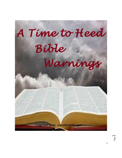

Page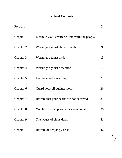# **Table of Contents**

| Forward    |                                              | 3              |
|------------|----------------------------------------------|----------------|
| Chapter 1  | Listen to God's warnings and warn the people | $\overline{4}$ |
| Chapter 2  | Warnings against abuse of authority          | 9              |
| Chapter 3  | Warnings against pride                       | 13             |
| Chapter 4  | Warnings against deception                   | 17             |
| Chapter 5  | Paul received a warning.                     | 22             |
| Chapter 6  | Guard yourself against idols.                | 26             |
| Chapter 7  | Beware that your hearts are not deceived.    | 31             |
| Chapter 8  | You have been appointed as watchmen          | 36             |
| Chapter 9  | The wages of sin is death.                   | 41             |
| Chapter 10 | Beware of denying Christ                     | 46             |

Page  $\mathrel{\sim}$ 

2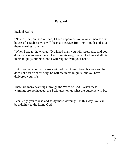### **Forward**

[Ezekiel 33:7-9](http://bible.knowing-jesus.com/Ezekiel/33/7)

"Now as for you, son of man, I have appointed you a watchman for the house of Israel; so you will hear a message from my mouth and give them warning from me.

"When I say to the wicked, 'O wicked man, you will surely die,' and you do not speak to warn the wicked from his way, that wicked man shall die in his iniquity, but his blood I will require from your hand."

But if you on your part warn a wicked man to turn from his way and he does not turn from his way, he will die in his iniquity, but you have delivered your life.

There are many warnings through the Word of God. When these warnings are not heeded, the Scriptures tell us what the outcome will be.

I challenge you to read and study these warnings. In this way, you can be a delight to the living God.

Page ന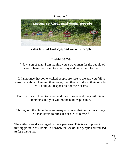## **Chapter 1**

![](_page_3_Picture_1.jpeg)

**Listen to what God says, and warn the people.**

# **Ezekiel 33:7-9**

 "Now, son of man, I am making you a watchman for the people of Israel. Therefore, listen to what I say and warn them for me.

If I announce that some wicked people are sure to die and you fail to warn them about changing their ways, then they will die in their sins, but I will hold you responsible for their deaths.

But if you warn them to repent and they don't repent, they will die in their sins, but you will not be held responsible.

Throughout the Bible there are many scriptures that contain warnings. No man liveth to himself nor dies to himself.

The exiles were discouraged by their past sins. This is an important turning point in this book—elsewhere in Ezekiel the people had refused to face their sins.

Page 4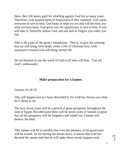Here, they felt heavy guilt for rebelling against God for so many years. Therefore, God assured them of forgiveness if they repented. God *wants* everyone to turn to him. God looks at what we are and will become, not what we have been. God gives you the opportunity to turn to him, if you will take it. Sincerely follow God, and ask him to forgive you when you fail.

This is all a part of the great Commission. That is, to give the warning that sin will bring forth death, while a life of Christian love, with repentance toward God will bring eternal life.

Do not hesitate to use the word of God to all who will hear. You are God's ambassador.

### **Make preparation for a famine.**

[Genesis 41:28-32](http://bible.knowing-jesus.com/Genesis/41/28)

This will happen just as I have described it, for God has shown you what he is about to do.

The next seven years will be a period of great prosperity throughout the land of Egypt. But afterward there will be seven years of famine so great that all the prosperity will be forgotten and wiped out. Famine will destroy the land.

This famine will be so terrible that even the memory of the good years will be erased. As for having the dream twice, it means that God has decreed the matter and that he will make these events happen soon.

Page ഥ

5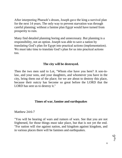After interpreting Pharaoh's dream, Joseph gave the king a survival plan for the next 14 years. The only way to prevent starvation was through careful planning; without a famine plan Egypt would have turned from prosperity to ruin.

Many find detailed planning boring and unnecessary. But planning is a responsibility, not an option. Joseph was able to save a nation by translating God's plan for Egypt into practical actions (implementation). We must take time to translate God's plan for us into practical actions too.

#### **The city will be destroyed.**

Then the two men said to Lot, "Whom else have you here? A son-inlaw, and your sons, and your daughters, and whomever you have in the city, bring them out of the place; for we are about to destroy this place, because their outcry has become so great before the LORD that the LORD has sent us to destroy it."

### **Times of war, famine and earthquakes**

[Matthew 24:6-7](http://bible.knowing-jesus.com/Matthew/24/6)

"You will be hearing of wars and rumors of wars. See that you are not frightened, for those things must take place, but that is not yet the end. "For nation will rise against nation, and kingdom against kingdom, and in various places there will be famines and earthquakes.

Page ص

6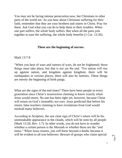You may not be facing intense persecution now, but Christians in other parts of the world are. As you hear about Christians suffering for their faith, remember that they are your brothers and sisters in Christ. Pray for them. Ask God what you can do to help them in their troubles. When one part suffers, the *whole* body suffers. But when all the parts join together to ease the suffering, the whole body benefits (1 Cor. 12:26).

#### **These are the beginning of sorrow.**

[Mark 13:7-8](http://bible.knowing-jesus.com/Mark/13/7)

"When you hear of wars and rumors of wars, do not be frightened; those things must take place; but that is not yet the end. "For nation will rise up against nation, and kingdom against kingdom; there will be earthquakes in various places; there will also be famines. These things are merely the beginning of birth pangs.

What are the signs of the end times? There have been people in every generation since Christ's resurrection claiming to know exactly when Jesus would return. No one has been right yet, however, because Christ will return on God's timetable, not ours. Jesus predicted that before his return, false teachers claiming to have revelations from God would mislead many believers.

According to Scripture, the one clear sign of Christ's return will be his unmistakable appearance in the clouds, which will be seen by all people (Mark 13:26; Rev. 1:7). In other words, you do not have to wonder whether a certain person is the Messiah or whether these are the "end times." When Jesus returns, *you will know* beyond a doubt, because it will be evident to all true believers. Beware of groups who claim special

7

Page  $\overline{\phantom{1}}$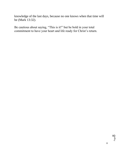knowledge of the last days, because no one knows when that time will be (Mark 13:32).

Be cautious about saying, "This is it!" but be bold in your total commitment to have your heart and life ready for Christ's return.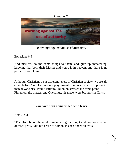![](_page_8_Picture_0.jpeg)

**[Warnings against](http://bible.knowing-jesus.com/topics/Abuse-Of-Authority,-Warnings-Against) abuse of authority**

[Ephesians 6:9](http://bible.knowing-jesus.com/Ephesians/6/9)

And masters, do the same things to them, and give up threatening, knowing that both their Master and yours is in heaven, and there is no partiality with Him.

Although Christians be at different levels of Christian society, we are all equal before God. He does not play favorites; no one is more important than anyone else. Paul's letter to Philemon stresses the same point: Philemon, the master, and Onesimus, his slave, were brothers in Christ.

## **You have been admonished with tears**

[Acts 20:31](http://bible.knowing-jesus.com/Acts/20/31)

"Therefore be on the alert, remembering that night and day for a period of three years I did not cease to admonish each one with tears.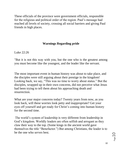These officials of the province were government officials, responsible for the religious and political order of the region. Paul's message had reached all levels of society, crossing all social barriers and giving Paul friends in high places.

## **[Warnings Regarding](http://bible.knowing-jesus.com/topics/Ambition,-Warnings-Regarding) pride**

[Luke 22:26](http://bible.knowing-jesus.com/Luke/22/26)

"But it is not this way with you, but the one who is the greatest among you must become like the youngest, and the leader like the servant.

The most important event in human history was about to take place, and the disciples were still arguing about their prestige in the kingdom! Looking back, we say, "This was no time to worry about status." But the disciples, wrapped up in their own concerns, did not perceive what Jesus had been trying to tell them about his approaching death and resurrection.

What are your major concerns today? Twenty years from now, as you look back, will these worries look petty and inappropriate? Get your eyes off yourself and get ready for Christ's coming into human history for the second time.

The world's system of leadership is very different from leadership in God's kingdom. Worldly leaders are often selfish and arrogant as they claw their way to the top. (Some kings in the ancient world gave themselves the title "Benefactor.") But among Christians, the leader is to be the one who *serves* best.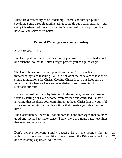There are different styles of leadership—some lead through public speaking, some through administering; some through relationships—but every Christian leader needs a servant's heart. Ask the people you lead how you can serve them better.

#### **[Personal Warnings](http://bible.knowing-jesus.com/topics/Apostasy,-Personal-Warnings) concerning apostasy**

[2 Corinthians 11:2-3](http://bible.knowing-jesus.com/2-Corinthians/11/2-3)

For I am jealous for you with a godly jealousy; for I betrothed you to one husband, so that to Christ I might present you as a pure virgin.

The Corinthians' sincere and pure devotion to Christ was being threatened by false teaching. Paul did not want the believers to lose their single-minded love for Christ. Keeping Christ first in our lives can be very difficult when we have so many distractions threatening to sidetrack our faith.

Just as Eve lost her focus by listening to the serpent, we too can lose our focus by letting our lives become overcrowded and confused. Is there anything that weakens your commitment to keep Christ first in your life? How can you minimize the distractions that threaten your devotion to him?

The Corinthian believers fell for smooth talk and messages that sounded good and seemed to make sense. Today there are many false teachings that seem to make sense.

Don't believe someone simply because he or she sounds like an authority or says words you like to hear. Search the Bible and check his or her teachings against God's Word.

Page1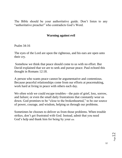The Bible should be your authoritative guide. Don't listen to any "authoritative preacher" who contradicts God's Word.

#### **Warning against evil**

[Psalm 34:16](http://bible.knowing-jesus.com/Psalm/34/16) 

The eyes of the Lord are upon the righteous, and his ears are open unto their cry.

Somehow we think that peace should come to us with no effort. But David explained that we are to seek and pursue peace. Paul echoed this thought in Romans 12:18.

A person who wants peace cannot be argumentative and contentious. Because peaceful relationships come from our efforts at peacemaking, work hard at living in peace with others each day.

We often wish we could escape troubles—the pain of grief, loss, sorrow, and failure; or even the small daily frustrations that constantly wear us down. God promises to be "close to the brokenhearted," to be our source of power, courage, and wisdom, helping us through our problems.

Sometimes he chooses to deliver us from those problems. When trouble strikes, don't get frustrated with God. Instead, admit that you need God's help and thank him for being by your side.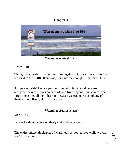# **Chapter 3**

![](_page_12_Picture_1.jpeg)

**[Warnings against](http://bible.knowing-jesus.com/topics/Impenitence,-Warnings-Against) pride**

[Hosea 7:10](http://bible.knowing-jesus.com/Hosea/7/10)

Though the pride of Israel testifies against him, yet they have not returned to the LORD their God, nor have they sought Him, for all this.

Arrogance (pride) keeps a person from returning to God because arrogance acknowledges no need of help from anyone, human or divine. Pride intensifies all our other sins because we cannot repent of any of them without first giving up our pride.

#### **[Warnings Against](http://bible.knowing-jesus.com/topics/Sleep,-Warnings-Against) sleep**

[Mark 13:36](http://bible.knowing-jesus.com/Mark/13/36)

In case he should come suddenly and find you asleep.

The entire thirteenth chapter of Mark tells us how to live while we wait for Christ's return:

![](_page_12_Picture_10.jpeg)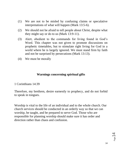- (1) We are not to be misled by confusing claims or speculative interpretations of what will happen (Mark 13:5-6).
- (2) We should not be afraid to tell people about Christ, despite what they might say or do to us (Mark 13:9-11).
- (3) Alert, obedient to the commands for living found in God's Word. This chapter was not given to promote discussions on prophetic timetables, but to stimulate right living for God in a world where he is largely ignored. We must stand firm by faith and not be surprised by persecutions (Mark 13:13).
- (4) We must be morally

#### **Warnings concerning spiritual gifts**

[1 Corinthians 14:39](http://bible.knowing-jesus.com/1-Corinthians/14/39)

Therefore, my brethren, desire earnestly to prophecy, and do not forbid to speak in tongues.

Worship is vital to the life of an individual and to the whole church. Our church services should be conducted in an orderly way so that we can worship, be taught, and be prepared to serve God. Those who are responsible for planning worship should make sure it has order and direction rather than chaos and confusion.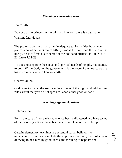### **Warnings concerning man**

[Psalm 146:3](http://bible.knowing-jesus.com/Psalm/146/3)

Do not trust in princes, in mortal man, in whom there is no salvation.

[Warning Individuals](http://bible.knowing-jesus.com/topics/Warning-Individuals)

The psalmist portrays man as an inadequate savior, a false hope; even princes cannot deliver (Psalm 146:3). God is the hope and the help of the needy. Jesus affirms his concern for the poor and afflicted in Luke 4:18- 21; Luke 7:21-23.

He does not separate the social and spiritual needs of people, but attends to both. While God, not the government, is the hope of the needy, *we* are his instruments to help here on earth.

[Genesis 31:24](http://bible.knowing-jesus.com/Genesis/31/24)

God came to Laban the Aramean in a dream of the night and said to him, "Be careful that you do not speak to Jacob either good or bad."

### **[Warnings against Apostasy](http://bible.knowing-jesus.com/topics/Warnings-Against-Apostasy)**

[Hebrews 6:4-8](http://bible.knowing-jesus.com/Hebrews/6/4-8)

For in the case of those who have once been enlightened and have tasted of the heavenly gift and have been made partakers of the Holy Spirit.

Certain elementary teachings are essential for all believers to understand. Those basics include the importance of faith, the foolishness of trying to be saved by good deeds, the meaning of baptism and

Page15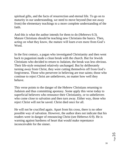spiritual gifts, and the facts of resurrection and eternal life. To go on to maturity in our understanding, we need to move beyond (but not away from) the elementary teachings to a more complete understanding of the faith.

And this is what the author intends for them to do (Hebrews 6:3). Mature Christians should be teaching new Christians the basics. Then, acting on what they know, the mature will learn even more from God's Word.

In the first century, a pagan who investigated Christianity and then went back to paganism made a clean break with the church. But for Jewish Christians who decided to return to Judaism, the break was less obvious. Their life-style remained relatively unchanged. But by deliberately turning away from Christ, they were cutting themselves off from God's forgiveness. Those who persevere in believing are true saints; those who continue to reject Christ are unbelievers, no matter how well they behave.

This verse points to the danger of the Hebrew Christians returning to Judaism and thus committing apostasy. Some apply this verse today to superficial believers who renounce their Christianity, or to unbelievers who come close to salvation and then turn away. Either way, those who reject Christ will not be saved. Christ died once for all.

He will not be crucified again. Apart from his cross, there is no other possible way of salvation. However, the author does not indicate that his readers were in danger of renouncing Christ (see Hebrews 6:9). He is warning against hardness of heart that would make repentance inconceivable for the sinner.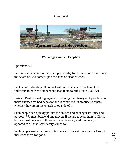# **Chapter 4**

![](_page_16_Picture_1.jpeg)

#### **[Warnings against Deception](http://bible.knowing-jesus.com/topics/Warnings-Against-Deception)**

[Ephesians 5:6](http://bible.knowing-jesus.com/Ephesians/5/6)

Let no one deceive you with empty words, for because of these things the wrath of God comes upon the sons of disobedience.

Paul is not forbidding all contact with unbelievers. Jesus taught his followers to befriend sinners and lead them to him (Luke 5:30-32).

Instead, Paul is speaking against condoning the life-style of people who make excuses for bad behavior and recommend its practice to others whether they are in the church or outside of it.

Such people can quickly pollute the church and endanger its unity and purpose. We must befriend unbelievers if we are to lead them to Christ, but we must be wary of those who are viciously evil, immoral, or opposed to all that Christianity stands for.

Such people are more likely to influence us for evil than we are likely to influence them for good.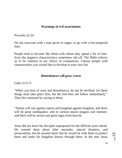#### **[Warnings of evil associations](http://bible.knowing-jesus.com/topics/Warnings-Of-Evil-Associations)**

[Proverbs 22:24](http://bible.knowing-jesus.com/Proverbs/22/24)

Do not associate with a man given to anger; or go with a hot-tempered man.

People tend to become like those with whom they spend a lot of time. Even the negative characteristics sometimes rub off. The Bible exhorts us to be cautious in our choice of companions. Choose people with characteristics you would like to develop in your own life.

#### **Disturbances will grow worse**

[Luke 21:9-11](http://bible.knowing-jesus.com/Luke/21/9)

"When you hear of wars and disturbances, do not be terrified; for these things must take place first, but the end does not follow immediately." Then He continued by saying to them,

"Nation will rise against nation and kingdom against kingdom, and there will be great earthquakes, and in various places plagues and famines; and there will be terrors and great signs from heaven.

Jesus did not leave his disciples unprepared for the difficult years ahead. He warned them about false messiahs, natural disasters, and persecutions; but he assured them that he would be with them to protect them and make his kingdom known through them. In the end, Jesus

Page 18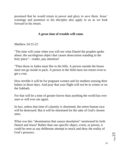promised that he would return in power and glory to save them. Jesus' warnings and promises to his disciples also apply to us as we look forward to his return.

### **A great time of trouble will come.**

[Matthew 24:15-22](http://bible.knowing-jesus.com/Matthew/24/15) 

"The time will come when you will see what Daniel the prophet spoke about: the sacrilegious object that causes desecration standing in the holy place"—reader, pay attention!

"Then those in Judea must flee to the hills. A person outside the house must not go inside to pack. A person in the field must not return even to get a coat.

How terrible it will be for pregnant women and for mothers nursing their babies in those days. And pray that your flight will not be in winter or on the Sabbath.

For that will be a time of greater horror than anything the world has ever seen or will ever see again.

In fact, unless that time of calamity is shortened, the entire human race will be destroyed. But it will be shortened for the sake of God's chosen ones.

What was this "abomination that causes desolation" mentioned by both Daniel and Jesus? Rather than one specific object, event, or person, it could be seen as any deliberate attempt to mock and deny the reality of God's presence.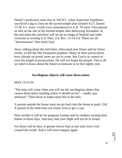Daniel's prediction came true in 168 B.C. when Antiochus Epiphanes sacrificed a pig to Zeus on the sacred temple altar (Daniel 9:27; Daniel 11:30-31). Jesus' words were remembered in A.D. 70 when Titus placed an idol on the site of the burned temple after destroying Jerusalem. In the end times the antichrist will set up an image of himself and order everyone to worship it (2 Thes. 2:4; Rev. 13:14-15). These are all "abominations" that mock God.

Jesus, talking about the end times, telescoped near future and far future events, as did the Old Testament prophets. Many of these persecutions have already occurred; more are yet to come. But God is in control of even the length of persecutions. He will not forget his people. This is all we need to know about the future to motivate us to live rightly now.

#### **Sacrilegious objects will cause desecration.**

[Mark 13:14-20](http://bible.knowing-jesus.com/Mark/13/14) 

"The time will come when you will see the sacrilegious object that causes desecration standing where it should not be"—reader, pay attention! "Then those in Judea must flee to the hills.

A person outside the house must not go back into the house to pack. [16] A person in the field must not return even to get a coat.

How terrible it will be for pregnant women and for mothers nursing their babies in those days. And pray that your flight will not be in winter.

For those will be days of greater horror than at any time since God created the world. And it will never happen again.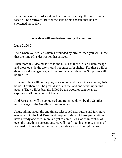In fact, unless the Lord shortens that time of calamity, the entire human race will be destroyed. But for the sake of his chosen ones he has shortened those days.

### **Jerusalem will see destruction by the gentiles.**

[Luke 21:20-24](http://bible.knowing-jesus.com/Luke/21/20) 

"And when you see Jerusalem surrounded by armies, then you will know that the time of its destruction has arrived.

Then those in Judea must flee to the hills. Let those in Jerusalem escape, and those outside the city should not enter it for shelter. For those will be days of God's vengeance, and the prophetic words of the Scriptures will be fulfilled.

How terrible it will be for pregnant women and for mothers nursing their babies. For there will be great distress in the land and wrath upon this people. They will be brutally killed by the sword or sent away as captives to all the nations of the world.

And Jerusalem will be conquered and trampled down by the Gentiles until the age of the Gentiles comes to an end.

Jesus, talking about the end times, telescoped near future and far future events, as did the Old Testament prophets. Many of these persecutions have already occurred; more are yet to come. But God is in control of even the length of persecutions. He will not forget his people. This is all we need to know about the future to motivate us to live rightly now.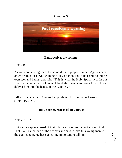# **Chapter 5**

![](_page_21_Picture_1.jpeg)

**Paul receives a warning.**

[Acts 21:10-11](http://bible.knowing-jesus.com/Acts/21/10)

As we were staying there for some days, a prophet named Agabus came down from Judea. And coming to us, he took Paul's belt and bound his own feet and hands, and said, "This is what the Holy Spirit says: 'In this way the Jews at Jerusalem will bind the man who owns this belt and deliver him into the hands of the Gentiles.'"

Fifteen years earlier, Agabus had predicted the famine in Jerusalem (Acts 11:27-29).

## **Paul's nephew warns of an ambush.**

[Acts 23:16-21](http://bible.knowing-jesus.com/Acts/23/16) 

But Paul's nephew heard of their plan and went to the fortress and told Paul. Paul called one of the officers and said, "Take this young man to the commander. He has something important to tell him."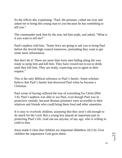So the officer did, explaining, "Paul, the prisoner, called me over and asked me to bring this young man to you because he has something to tell you."

The commander took him by the arm, led him aside, and asked, "What is it you want to tell me?"

Paul's nephew told him, "Some Jews are going to ask you to bring Paul before the Jewish high council tomorrow, pretending they want to get some more information.

But don't do it! There are more than forty men hiding along the way ready to jump him and kill him. They have vowed not to eat or drink until they kill him. They are ready, expecting you to agree to their request."

This is the only Biblical reference to Paul's family. Some scholars believe that Paul's family had disowned Paul when he became a Christian.

Paul wrote of having suffered the loss of everything for Christ (Phil. 3:8). Paul's nephew was able to see Paul, even though Paul was in protective custody, because Roman prisoners were accessible to their relatives and friends who could bring them food and other amenities.

It is easy to overlook children, assuming that they aren't old enough to do much for the Lord. But a young boy played an important part in protecting Paul's life. God can use anyone, of any age, who is willing to yield to him.

Jesus made it clear that children are important (Matthew 18:2-6). Give children the importance God gives them.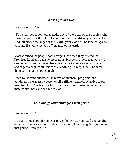### **God is a jealous God.**

[Deuteronomy 6:14-15](http://bible.knowing-jesus.com/Deuteronomy/6/14)

"You shall not follow other gods, any of the gods of the peoples who surround you, for the LORD your God in the midst of you is a jealous God; otherwise the anger of the LORD your God will be kindled against you, and He will wipe you off the face of the earth.

Moses warned the people not to forget God when they entered the Promised Land and became prosperous. Prosperity, more than poverty, can dull our spiritual vision because it tends to make us self-sufficient and eager to acquire still more of everything—except God. The same thing can happen in our church.

Once we become successful in terms of numbers, programs, and buildings, we can easily become self-sufficient and less sensitive to our need for God. This leads us to concentrate on self-preservation rather than thankfulness and service to God.

# **Those who go after other gods shall perish.**

[Deuteronomy 8:19](http://bible.knowing-jesus.com/Deuteronomy/8/19)

"It shall come about if you ever forget the LORD your God and go after other gods and serve them and worship them, I testify against you today that you will surely perish.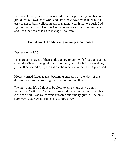In times of plenty, we often take credit for our prosperity and become proud that our own hard work and cleverness have made us rich. It is easy to get so busy collecting and managing wealth that we push God right out of our lives. But it is God who gives us everything we have, and it is God who asks us to manage it for him.

#### **Do not covet the silver or goal on graven images**.

[Deuteronomy 7:25](http://bible.knowing-jesus.com/Deuteronomy/7/25)

"The graven images of their gods you are to burn with fire; you shall not covet the silver or the gold that is on them, nor take it for yourselves, or you will be snared by it, for it is an abomination to the LORD your God.

Moses warned Israel against becoming ensnared by the idols of the defeated nations by coveting the silver or gold on them.

We may think it's all right to be close to sin as long as we don't participate. "After all," we say, "I won't do anything wrong!" But being close can hurt us as we become attracted and finally give in. The only sure way to stay away from sin is to *stay away!*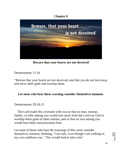## **Chapter 6**

![](_page_25_Picture_1.jpeg)

**Beware that your hearts are not deceived**

[Deuteronomy 11:16](http://bible.knowing-jesus.com/Deuteronomy/11/16)

"Beware that your hearts are not deceived, and that you do not turn away and serve other gods and worship them.

### **Let none who hear these warning consider themselves immune.**

[Deuteronomy 29:18-21](http://bible.knowing-jesus.com/Deuteronomy/29/18) 

 The Lord made this covenant with you so that no man, woman, family, or tribe among you would turn away from the Lord our God to worship these gods of other nations, and so that no root among you would bear bitter and poisonous fruit.

Let none of those who hear the warnings of this curse consider themselves immune, thinking, 'I am safe, even though I am walking in my own stubborn way.' This would lead to utter ruin!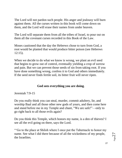The Lord will not pardon such people. His anger and jealousy will burn against them. All the curses written in this book will come down on them, and the Lord will erase their names from under heaven.

The Lord will separate them from all the tribes of Israel, to pour out on them all the covenant curses recorded in this Book of the Law.

Moses cautioned that the day the Hebrews chose to turn from God, a root would be planted that would produce bitter poison (see Hebrews 12:15).

When we decide to do what we know is wrong, we plant an evil seed that begins to grow out of control, eventually yielding a crop of sorrow and pain. But we can prevent those seeds of sin from taking root. If you have done something wrong, confess it to God and others immediately. If the seed never finds fertile soil, its bitter fruit will never ripen.

### **God sees everything you are doing**.

[Jeremiah 7:9-15](http://bible.knowing-jesus.com/Jeremiah/7/9) 

Do you really think you can steal, murder, commit adultery, lie, and worship Baal and all those other new gods of yours, and then come here and stand before me in my Temple and chant, "We are safe!"—only to go right back to all those evils again?

Do you think this Temple, which honors my name, is a den of thieves? I see all the evil going on there, says the Lord.

"'Go to the place at Shiloh where I once put the Tabernacle to honor my name. See what I did there because of all the wickedness of my people, the Israelites.

Page27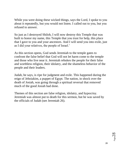While you were doing these wicked things, says the Lord, I spoke to you about it repeatedly, but you would not listen. I called out to you, but you refused to answer.

So just as I destroyed Shiloh, I will now destroy this Temple that was built to honor my name, this Temple that you trust for help, this place that I gave to you and your ancestors. And I will send you into exile, just as I did your relatives, the people of Israel.'

As this section opens, God sends Jeremiah to the temple gates to confront the false belief that God will not let harm come to the temple and those who live near it. Jeremiah rebukes the people for their false and worthless religion, their idolatry, and the shameless behavior of the people and their leaders.

Judah, he says, is ripe for judgment and exile. This happened during the reign of Jehoiakim, a puppet of Egypt. The nation, in shock over the death of Josiah, was going through a spiritual reversal that removed much of the good Josiah had done.

Themes of this section are false religion, idolatry, and hypocrisy. Jeremiah was almost put to death for this sermon, but he was saved by the officials of Judah (see Jeremiah 26).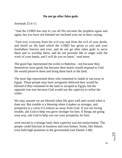### **Do not go after false gods.**

#### [Jeremiah 25:4-11](http://bible.knowing-jesus.com/Jeremiah/25/4)

"And the LORD has sent to you all His servants the prophets again and again, but you have not listened nor inclined your ear to hear, saying,

'Turn now everyone from his evil way and from the evil of your deeds, and dwell on the land which the LORD has given to you and your forefathers forever and ever; and do not go after other gods to serve them and to worship them, and do not provoke Me to anger with the work of your hands, and I will do you no harm.' [read more.](javascript:void();)

The good figs represented the exiles to Babylon—not because they themselves were good, but because their hearts would respond to God. He would preserve them and bring them back to the land.

The poor figs represented those who remained in Judah or ran away to Egypt. Those people may have arrogantly believed they would be blessed if they remained in the land or escaped to Egypt, but the opposite was true because God would use the captivity to refine the exiles.

We may assume we are blessed when life goes well and cursed when it does not. But trouble is a blessing when it makes us stronger, and prosperity is a curse if it entices us away from God. If you are facing trouble, ask God to help you grow stronger for him. If things are going your way, ask God to help you use your prosperity for him.

were moved to a foreign land, their captivity was not enslavement. The people could function in business and own homes. Some, like Daniel, even held high positions in the government (see Daniel 2:48).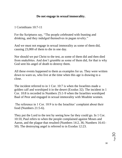### **Do not engage in sexual immorality.**

[1 Corinthians 10:7-11](http://bible.knowing-jesus.com/1-Corinthians/10/7)

For the Scriptures say, "The people celebrated with feasting and drinking, and they indulged themselves in pagan revelry."

And we must not engage in sexual immorality as some of them did, causing 23,000 of them to die in one day.

Nor should we put Christ to the test, as some of them did and then died from snakebites. And don't grumble as some of them did, for that is why God sent his angel of death to destroy them.

All these events happened to them as examples for us. They were written down to warn us, who live at the time when this age is drawing to a close.

The incident referred to in 1 Cor. 10:7 is when the Israelites made a golden calf and worshiped it in the desert (Exodus 32). The incident in 1 Cor. 10:8 is recorded in Numbers 25:1-9 when the Israelites worshiped Baal of Peor and engaged in sexual immorality with Moabite women.

The reference in 1 Cor. 10:9 is to the Israelites' complaint about their food (Numbers 21:5-6).

They put the Lord to the test by seeing how far they could go. In 1 Cor. 10:10, Paul refers to when the people complained against Moses and Aaron, and the plague that resulted (Numbers 14:2, 36; Numbers 16:41- 50). The destroying angel is referred to in Exodus 12:23.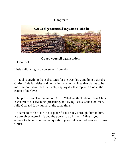# **Chapter 7**

![](_page_30_Picture_1.jpeg)

**Guard yourself against idols.**

[1 John 5:21](http://bible.knowing-jesus.com/1-John/5/21)

Little children, guard yourselves from idols.

An idol is anything that substitutes for the true faith, anything that robs Christ of his full deity and humanity, any human idea that claims to be more authoritative than the Bible, any loyalty that replaces God at the center of our lives.

John presents a clear picture of Christ. What we think about Jesus Christ is central to our teaching, preaching, and living. Jesus is the God-man, fully God and fully human at the same time.

He came to earth to die in our place for our sins. Through faith in him, we are given eternal life and the power to do his will. What is your answer to the most important question you could ever ask—who is Jesus Christ?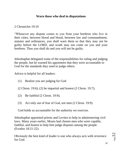## **Warn those who deal in disputations**

[2 Chronicles 19:10](http://bible.knowing-jesus.com/2-Chronicles/19/10)

"Whenever any dispute comes to you from your brethren who live in their cities, between blood and blood, between law and commandment, statutes and ordinances, you shall warn them so that they may not be guilty before the LORD, and wrath may not come on you and your brethren. Thus you shall do and you will not be guilty.

Jehoshaphat delegated some of the responsibilities for ruling and judging the people, but he warned his appointees that they were accountable to God for the standards they used to judge others.

Advice is helpful for all leaders:

- (1) Realize you are judging for God
- (2 Chron. 19:6); (2) be impartial and honest (2 Chron. 19:7);
- (2) Be faithful (2 Chron. 19:9);
- (3) Act only out of fear of God, not men (2 Chron. 19:9).

God holds us accountable for the authority we exercise.

Jehoshaphat appointed priests and Levites to help in administering civil laws. Many years earlier, Moses had chosen men who were capable, faithful, and honest to help him judge disputes among the people (Exodus 18:21-22).

Obviously the best kind of leader is one who always acts with reverence for God.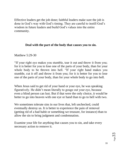Effective leaders get the job done; faithful leaders make sure the job is done in God's way with God's timing. They are careful to instill God's wisdom in future leaders and build God's values into the entire community.

### **Deal with the part of the body that causes you to sin.**

[Matthew 5:29-30](http://bible.knowing-jesus.com/Matthew/5/29)

"If your right eye makes you stumble, tear it out and throw it from you; for it is better for you to lose one of the parts of your body, than for your whole body to be thrown into hell. "If your right hand makes you stumble, cut it off and throw it from you; for it is better for you to lose one of the parts of your body, than for your whole body to go into hell.

When Jesus said to get rid of your hand or your eye, he was speaking figuratively. He didn't mean literally to gouge out your eye, because even a blind person can lust. But if that were the only choice, it would be better to go into heaven with one eye or hand than to go to hell with two.

We sometimes tolerate sins in our lives that, left unchecked, could eventually destroy us. It is better to experience the pain of removal (getting rid of a bad habit or something we treasure, for instance) than to allow the sin to bring judgment and condemnation.

Examine your life for anything that causes you to sin, and take every necessary action to remove it.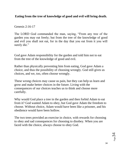## **Eating from the tree of knowledge of good and evil will bring death.**

[Genesis 2:16-17](http://bible.knowing-jesus.com/Genesis/2/16)

The LORD God commanded the man, saying, "From any tree of the garden you may eat freely; but from the tree of the knowledge of good and evil you shall not eat, for in the day that you eat from it you will surely die."

God gave Adam responsibility for the garden and told him not to eat from the tree of the knowledge of good and evil.

Rather than physically preventing him from eating, God gave Adam a choice, and thus the possibility of choosing wrongly. God still gives us choices, and we, too, often choose wrongly.

These wrong choices may cause us pain, but they can help us learn and grow and make better choices in the future. Living with the consequences of our choices teaches us to think and choose more carefully.

Why would God place a tree in the garden and then forbid Adam to eat from it? God wanted Adam to obey, but God gave Adam the freedom to choose. Without choice, Adam would have been like a prisoner, and his obedience would have been hollow.

The two trees provided an exercise in choice, with rewards for choosing to obey and sad consequences for choosing to disobey. When you are faced with the choice, always choose to obey God.

![](_page_33_Picture_8.jpeg)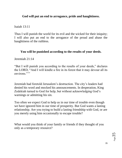### **God will put an end to arrogance, pride and haughtiness.**

[Isaiah 13:11](http://bible.knowing-jesus.com/Isaiah/13/11)

Thus I will punish the world for its evil and the wicked for their iniquity; I will also put an end to the arrogance of the proud and abase the haughtiness of the ruthless.

### **You will be punished according to the results of your deeds.**

[Jeremiah 21:14](http://bible.knowing-jesus.com/Jeremiah/21/14)

"But I will punish you according to the results of your deeds," declares the LORD, "And I will kindle a fire in its forest that it may devour all its environs.""

Jeremiah had foretold Jerusalem's destruction. The city's leaders had denied his word and mocked his announcements. In desperation, King Zedekiah turned to God for help, but without acknowledging God's warnings or admitting his sin.

Too often we expect God to help us in our time of trouble even though we have ignored him in our time of prosperity. But God wants a lasting relationship. Are you trying to build a lasting friendship with God, or are you merely using him occasionally to escape trouble?

What would you think of your family or friends if they thought of you only as a temporary resource?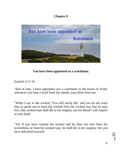# **Chapter 8**

![](_page_35_Picture_1.jpeg)

**You have been appointed as a watchman.**

[Ezekiel 3:17-19](http://bible.knowing-jesus.com/Ezekiel/3/17)

"Son of man, I have appointed you a watchman to the house of Israel; whenever you hear a word from my mouth, warn them from me.

"When I say to the wicked, 'You will surely die,' and you do not warn him or speak out to warn the wicked from his wicked way that he may live, that wicked man shall die in his iniquity, but his blood I will require at your hand.

"Yet if you have warned the wicked and he does not turn from his wickedness or from his wicked way, he shall die in his iniquity; but you have delivered yourself.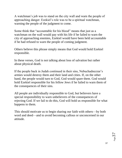A watchman's job was to stand on the city wall and warn the people of approaching danger. Ezekiel's role was to be a spiritual watchman, warning the people of the judgment to come.

Some think that "accountable for his blood" means that just as a watchman on the wall would pay with his life if he failed to warn the city of approaching enemies, Ezekiel would have been held accountable if he had refused to warn the people of coming judgment.

Others believe this phrase simply means that God would hold Ezekiel responsible.

In these verses, God is not talking about loss of salvation but rather about physical death.

If the people back in Judah continued in their sins, Nebuchadnezzar's armies would destroy them and their land and cities. If, on the other hand, the people would turn to God, God would spare them. God would hold Ezekiel responsible for his fellow Jews if he failed to warn them of the consequences of their sins.

All people are individually responsible to God, but believers have a special responsibility to warn unbelievers of the consequences of rejecting God. If we fail to do this, God will hold us responsible for what happens to them.

This should motivate us to begin sharing our faith with others—by both word and deed—and to avoid becoming callous or unconcerned in our attitude.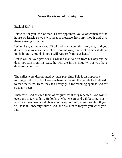### **Warn the wicked of his iniquities.**

[Ezekiel 33:7-9](http://bible.knowing-jesus.com/Ezekiel/33/7)

"Now as for you, son of man, I have appointed you a watchman for the house of Israel; so you will hear a message from my mouth and give them warning from me.

"When I say to the wicked, 'O wicked man, you will surely die,' and you do not speak to warn the wicked from his way, that wicked man shall die in his iniquity, but his blood I will require from your hand."

But if you on your part warn a wicked man to turn from his way and he does not turn from his way, he will die in his iniquity, but you have delivered your life.

The exiles were discouraged by their past sins. This is an important turning point in this book—elsewhere in Ezekiel the people had refused to face their sins. Here, they felt heavy guilt for rebelling against God for so many years.

Therefore, God assured them of forgiveness if they repented. God *wants* everyone to turn to him. He looks at what we are and will become, not what we have been. God gives you the opportunity to turn to him, if you will take it. Sincerely follow God, and ask him to forgive you when you fail.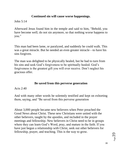## **Continued sin will cause worse happenings.**

[John 5:14](http://bible.knowing-jesus.com/John/5/14)

Afterward Jesus found him in the temple and said to him, "Behold, you have become well; do not sin anymore, so that nothing worse happens to you."

This man had been lame, or paralyzed, and suddenly he could walk. This was a great miracle. But he needed an even greater miracle—to have his sins forgiven.

The man was delighted to be physically healed, but he had to turn from his sins and seek God's forgiveness to be spiritually healed. God's forgiveness is the greatest gift you will ever receive. Don't neglect his gracious offer.

# **Be saved from this perverse generation**

[Acts 2:40](http://bible.knowing-jesus.com/Acts/2/40)

And with many other words he solemnly testified and kept on exhorting them, saying, and "Be saved from this perverse generation

About 3,000 people became new believers when Peter preached the Good News about Christ. These new Christians were united with the other believers, taught by the apostles, and included in the prayer meetings and fellowship. New believers in Christ need to be in groups where they can learn God's Word, pray, and mature in the faith. If you have just begun a relationship with Christ, seek out other believers for fellowship, prayer, and teaching. This is the way to grow.

![](_page_38_Picture_9.jpeg)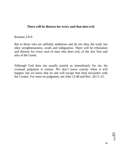#### **There will be distress for every soul that does evil.**

[Romans 2:8-9](http://bible.knowing-jesus.com/Romans/2/8)

But to those who are selfishly ambitious and do not obey the truth, but obey unrighteousness, wrath and indignation. There will be tribulation and distress for every soul of man who does evil, of the Jew first and also of the Greek.

Although God does not usually punish us immediately for sin, his eventual judgment is certain. We don't know exactly when it will happen, but we know that no one will escape that final encounter with the Creator. For more on judgment, see John 12:48 and Rev. 20:11-15.

 $P_{\text{age}}40$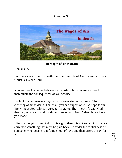## **Chapter 9**

![](_page_40_Picture_1.jpeg)

**The wages of sin is death**

[Romans 6:23](http://bible.knowing-jesus.com/Romans/6/23)

For the wages of sin is death, but the free gift of God is eternal life in Christ Jesus our Lord.

You are free to choose between two masters, but you are not free to manipulate the consequences of your choice.

Each of the two masters pays with his own kind of currency. The currency of sin is death. That is all you can expect or to use hope for in life without God. Christ's currency is eternal life—new life with God that begins on earth and continues forever with God. What choice have you made?

Life is a free gift from God. If it is a gift, then it is not something that we earn, nor something that must be paid back. Consider the foolishness of someone who receives a gift given out of love and then offers to pay for it.

 $P_{\text{age}}$ 4.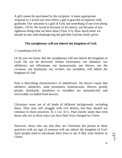A gift cannot be purchased by the recipient. A more appropriate response to a loved one who offers a gift is graceful acceptance with gratitude. Our salvation is a gift of God, not something of our own doing (Ephes. 2:8-9). He saved us because of his mercy, not because of any righteous things that we have done (Titus 3:5). How much more we should accept with thanksgiving the gift that God has freely given

### **The unrighteous will not inherit the kingdom of God.**

[1 Corinthians 6:9-10](http://bible.knowing-jesus.com/1-Corinthians/6/9)

Or do you not know that the unrighteous will not inherit the kingdom of God? Do not be deceived; neither fornicators, nor idolaters, nor adulterers, nor effeminate, nor homosexuals, nor thieves, nor the covetous, nor drunkards, nor revilers, nor swindlers, will inherit the kingdom of God.

Paul is describing characteristics of unbelievers. He doesn't mean that idolaters, adulterers, male prostitutes, homosexuals, thieves, greedy people, drunkards, slanderers or swindlers are automatically and irrevocably excluded from heaven.

Christians come out of all kinds of different backgrounds, including these. They may still struggle with evil desires, but they should not continue in these practices. In 1 Cor. 6:11, Paul clearly states that even those who sin in these ways can have their lives changed by Christ.

However, those who say that they are Christians but persist in these practices with no sign of remorse will not inherit the kingdom of God. Such people need to reevaluate their lives to see if they truly believe in Christ.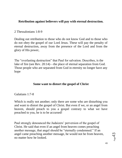### **Retribution against believers will pay with eternal destruction.**

#### [2 Thessalonians 1:8-9](http://bible.knowing-jesus.com/2-Thessalonians/1/8)

Dealing out retribution to those who do not know God and to those who do not obey the gospel of our Lord Jesus. These will pay the penalty of eternal destruction, away from the presence of the Lord and from the glory of His power,

The "everlasting destruction" that Paul for salvation. Describes, is the lake of fire (see Rev. 20:14)—the place of eternal separation from God. Those people who are separated from God in eternity no longer have any hope

#### **Some want to distort the gospel of Christ**

[Galatians 1:7-8](http://bible.knowing-jesus.com/Galatians/1/7)

Which is really not another; only there are some who are disturbing you and want to distort the gospel of Christ. But even if we, or an angel from heaven, should preach to you a gospel contrary to what we have preached to you, he is to be accursed!

Paul strongly denounced the Judaizers' perversion of the gospel of Christ. He said that even if an angel from heaven comes preaching another message, that angel should be "eternally condemned." If an angel came preaching another message, he would not be from heaven, no matter how he looked.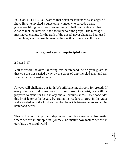In 2 Cor. 11:14-15, Paul warned that Satan masquerades as an angel of light. Here he invoked a curse on any angel who spreads a false gospel—a fitting response to an emissary of hell. Paul extended that curse to include himself if he should pervert the gospel. His message must never change, for the truth of the gospel never changes. Paul used strong language because he was dealing with a life-and-death issue.

### **Be on guard against unprincipled men.**

#### [2 Peter 3:17](http://bible.knowing-jesus.com/2-Peter/3/17)

You therefore, beloved, knowing this beforehand, be on your guard so that you are not carried away by the error of unprincipled men and fall from your own steadfastness,

Always will challenge our faith. We still have much room for growth. If every day we find some way to draw closer to Christ, we will be prepared to stand for truth in any and all circumstances. Peter concludes this brief letter as he began, by urging his readers to grow in the grace and knowledge of the Lord and Savior Jesus Christ—to get to know him better and better.

This is the most important step in refuting false teachers. No matter where we are in our spiritual journey, no matter how mature we are in our faith, the sinful world

 $\mathcal{A}_{\text{age}}$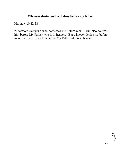# **Whoever denies me I will deny before my father.**

[Matthew 10:32-33](http://bible.knowing-jesus.com/Matthew/10/32)

"Therefore everyone who confesses me before men, I will also confess him before My Father who is in heaven. "But whoever denies me before men, I will also deny him before My Father who is in heaven.

Page45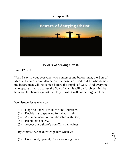# **Chapter 10**

![](_page_45_Picture_1.jpeg)

## **Beware of denying Christ.**

[Luke 12:8-10](http://bible.knowing-jesus.com/Luke/12/8)

"And I say to you, everyone who confesses me before men, the Son of Man will confess him also before the angels of God; but he who denies me before men will be denied before the angels of God." And everyone who speaks a word against the Son of Man, it will be forgiven him; but he who blasphemes against the Holy Spirit, it will not be forgiven him.

We disown Jesus when we

- (1) Hope no one will think we are Christians,
- (2) Decide *not* to speak up for what is right,
- (3) Are silent about our relationship with God,
- (4) Blend into society,
- (5) Accept our culture's non-Christian values.

By contrast, we acknowledge him when we

(1) Live moral, upright, Christ-honoring lives,

 $9P<sub>age</sub>$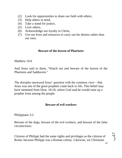- (2) Look for opportunities to share our faith with others,
- (3) Help others in need,
- (4) Take a stand for justice,
- (5) Love others,
- (6) Acknowledge our loyalty to Christ,
- (7) Use our lives and resources to carry out his desires rather than our own.

#### **Beware of the leaven of Pharisees**

[Matthew 16:6](http://bible.knowing-jesus.com/Matthew/16/6)

And Jesus said to them, "Watch out and beware of the leaven of the Pharisees and Sadducees."

The disciples answered Jesus' question with the common view—that Jesus was one of the great prophets come back to life. This belief may have stemmed from Deut. 18:18, where God said he would raise up a prophet from among the people.

### **Beware of evil workers**

[Philippians 3:2](http://bible.knowing-jesus.com/Philippians/3/2)

Beware of the dogs, beware of the evil workers, and beware of the false circumcision;

Citizens of Philippi had the same rights and privileges as the citizens of Rome, because Philippi was a Roman colony. Likewise, we Christians

![](_page_46_Picture_14.jpeg)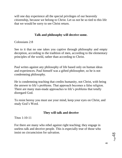will one day experience all the special privileges of our heavenly citizenship, because we belong to Christ. Let us not be so tied to this life that we would be sorry to see Christ return.

## **Talk and philosophy will deceive some.**

[Colossians 2:8](http://bible.knowing-jesus.com/Colossians/2/8)

See to it that no one takes you captive through philosophy and empty deception, according to the tradition of men, according to the elementary principles of the world, rather than according to Christ.

Paul writes against any philosophy of life based only on human ideas and experiences. Paul himself was a gifted philosopher, so he is not condemning philosophy.

He is condemning teaching that credits humanity, not Christ, with being the answer to life's problems. That approach becomes a false religion. There are many man-made approaches to life's problems that totally disregard God.

To resist heresy you must use your mind, keep your eyes on Christ, and study God's Word.

## **They will talk and deceive**

[Titus 1:10-11](http://bible.knowing-jesus.com/Titus/1/10)

For there are many who rebel against right teaching; they engage in useless talk and deceive people. This is especially true of those who insist on circumcision for salvation.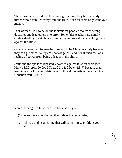They must be silenced. By their wrong teaching, they have already turned whole families away from the truth. Such teachers only want your money.

Paul warned Titus to be on the lookout for people who teach wrong doctrines and lead others into error. Some false teachers are simply confused—they speak their misguided opinions without checking them against the Bible.

Others have evil motives—they pretend to be Christians only because they can get more money ("dishonest gain"), additional business, or a feeling of power from being a leader in the church.

Jesus and the apostles repeatedly warned against false teachers (see Mark 13:22; Acts 20:29; 2 Thes. 2:3-12; 2 Peter 3:3-7) because their teachings attack the foundations of truth and integrity upon which the Christian faith is built.

You can recognize false teachers because they will

- (1) Focus more attention on themselves than on Christ;
- (2) Ask you to do something that will compromise or dilute your faith;